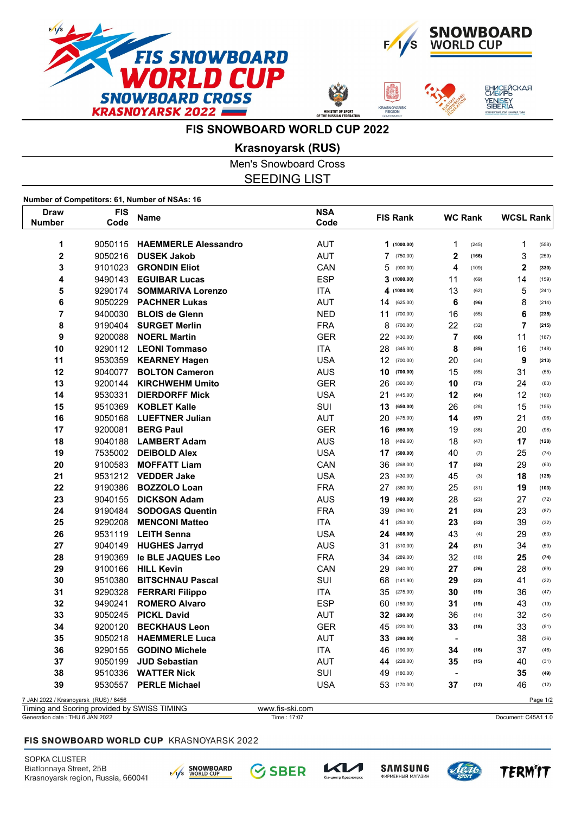



ЕНИСЕЙСКАЯ<br>СИБИРЬ

/ENISEY<br>SIBERIA

**FIS SNOWBOARD WORLD CUP 2022**

**Krasnoyarsk (RUS)**

Men's Snowboard Cross SEEDING LIST

**Number of Competitors: 61, Number of NSAs: 16**

| Draw                                  | <b>FIS</b> | <b>Name</b>                 | <b>NSA</b>                      | <b>FIS Rank</b> | <b>WC Rank</b>          | <b>WCSL Rank</b>        |
|---------------------------------------|------------|-----------------------------|---------------------------------|-----------------|-------------------------|-------------------------|
| <b>Number</b>                         | Code       |                             | Code                            |                 |                         |                         |
| 1                                     | 9050115    | <b>HAEMMERLE Alessandro</b> | <b>AUT</b>                      | 1(1000.00)      | 1<br>(245)              | $\mathbf 1$<br>(558)    |
| $\overline{\mathbf{2}}$               | 9050216    | <b>DUSEK Jakob</b>          | <b>AUT</b>                      | 7<br>(750.00)   | $\mathbf 2$<br>(166)    | $\mathsf 3$<br>(259)    |
| 3                                     | 9101023    | <b>GRONDIN Eliot</b>        | CAN                             | 5<br>(900.00)   | $\overline{4}$<br>(109) | $\mathbf 2$<br>(330)    |
| 4                                     | 9490143    | <b>EGUIBAR Lucas</b>        | <b>ESP</b>                      | 3<br>(1000.00)  | 11<br>(69)              | 14<br>(159)             |
| 5                                     | 9290174    | <b>SOMMARIVA Lorenzo</b>    | <b>ITA</b>                      | 4<br>(1000.00)  | 13<br>(62)              | 5<br>(241)              |
| 6                                     | 9050229    | <b>PACHNER Lukas</b>        | <b>AUT</b>                      | 14<br>(625.00)  | 6<br>(96)               | 8<br>(214)              |
| 7                                     | 9400030    | <b>BLOIS de Glenn</b>       | <b>NED</b>                      | 11<br>(700.00)  | 16<br>(55)              | 6<br>(235)              |
| 8                                     | 9190404    | <b>SURGET Merlin</b>        | <b>FRA</b>                      | 8<br>(700.00)   | 22<br>(32)              | $\overline{7}$<br>(215) |
| 9                                     | 9200088    | <b>NOERL Martin</b>         | <b>GER</b>                      | 22<br>(430.00)  | $\overline{7}$<br>(86)  | 11<br>(187)             |
| 10                                    |            | 9290112 LEONI Tommaso       | <b>ITA</b>                      | 28<br>(345.00)  | 8<br>(85)               | 16<br>(148)             |
| 11                                    | 9530359    | <b>KEARNEY Hagen</b>        | <b>USA</b>                      | 12<br>(700.00)  | 20<br>(34)              | 9<br>(213)              |
| 12                                    | 9040077    | <b>BOLTON Cameron</b>       | <b>AUS</b>                      | 10<br>(700.00)  | 15<br>(55)              | 31<br>(55)              |
| 13                                    | 9200144    | <b>KIRCHWEHM Umito</b>      | <b>GER</b>                      | 26<br>(360.00)  | 10<br>(73)              | 24<br>(83)              |
| 14                                    | 9530331    | <b>DIERDORFF Mick</b>       | <b>USA</b>                      | 21<br>(445.00)  | 12<br>(64)              | 12<br>(160)             |
| 15                                    | 9510369    | <b>KOBLET Kalle</b>         | SUI                             | 13<br>(650.00)  | 26<br>(28)              | 15<br>(155)             |
| 16                                    | 9050168    | <b>LUEFTNER Julian</b>      | <b>AUT</b>                      | 20<br>(475.00)  | 14<br>(57)              | 21<br>(96)              |
| 17                                    | 9200081    | <b>BERG Paul</b>            | <b>GER</b>                      | 16<br>(550.00)  | 19<br>(36)              | 20<br>(98)              |
| 18                                    | 9040188    | <b>LAMBERT Adam</b>         | <b>AUS</b>                      | 18<br>(489.60)  | 18<br>(47)              | 17<br>(128)             |
| 19                                    | 7535002    | <b>DEIBOLD Alex</b>         | <b>USA</b>                      | 17<br>(500.00)  | 40<br>(7)               | 25<br>(74)              |
| 20                                    | 9100583    | <b>MOFFATT Liam</b>         | CAN                             | 36<br>(268.00)  | 17<br>(52)              | 29<br>(63)              |
| 21                                    | 9531212    | <b>VEDDER Jake</b>          | <b>USA</b>                      | 23<br>(430.00)  | 45<br>(3)               | 18<br>(125)             |
| 22                                    | 9190386    | <b>BOZZOLO Loan</b>         | <b>FRA</b>                      | 27<br>(360.00)  | 25<br>(31)              | 19<br>(103)             |
| 23                                    | 9040155    | <b>DICKSON Adam</b>         | <b>AUS</b>                      | 19<br>(480.00)  | 28<br>(23)              | 27<br>(72)              |
| 24                                    | 9190484    | <b>SODOGAS Quentin</b>      | <b>FRA</b>                      | 39<br>(260.00)  | 21<br>(33)              | 23<br>(87)              |
| 25                                    | 9290208    | <b>MENCONI Matteo</b>       | <b>ITA</b>                      | 41<br>(253.00)  | 23<br>(32)              | 39<br>(32)              |
| 26                                    | 9531119    | <b>LEITH Senna</b>          | <b>USA</b>                      | 24<br>(408.00)  | 43<br>(4)               | 29<br>(63)              |
| 27                                    | 9040149    | <b>HUGHES Jarryd</b>        | <b>AUS</b>                      | 31<br>(310.00)  | 24<br>(31)              | 34<br>(50)              |
| 28                                    | 9190369    | le BLE JAQUES Leo           | <b>FRA</b>                      | 34<br>(289.00)  | 32<br>(18)              | 25<br>(74)              |
| 29                                    | 9100166    | <b>HILL Kevin</b>           | CAN                             | 29<br>(340.00)  | 27<br>(26)              | 28<br>(69)              |
| 30                                    | 9510380    | <b>BITSCHNAU Pascal</b>     | SUI                             | 68<br>(141.90)  | 29<br>(22)              | 41<br>(22)              |
| 31                                    | 9290328    | <b>FERRARI Filippo</b>      | <b>ITA</b>                      | 35<br>(275.00)  | 30<br>(19)              | 36<br>(47)              |
| 32                                    | 9490241    | <b>ROMERO Alvaro</b>        | <b>ESP</b>                      | 60<br>(159.00)  | 31<br>(19)              | 43<br>(19)              |
| 33                                    | 9050245    | <b>PICKL David</b>          | <b>AUT</b>                      | 32<br>(290.00)  | 36<br>(14)              | 32<br>(54)              |
| 34                                    | 9200120    | <b>BECKHAUS Leon</b>        | <b>GER</b>                      | 45<br>(220.00)  | 33<br>(18)              | 33<br>(51)              |
| 35                                    | 9050218    | <b>HAEMMERLE Luca</b>       | <b>AUT</b>                      | 33<br>(290.00)  | $\blacksquare$          | 38<br>(36)              |
| 36                                    | 9290155    | <b>GODINO Michele</b>       | <b>ITA</b>                      | 46<br>(190.00)  | 34<br>(16)              | 37<br>(46)              |
| 37                                    | 9050199    | <b>JUD Sebastian</b>        | <b>AUT</b>                      | 44<br>(228.00)  | 35<br>(15)              | 40<br>(31)              |
| 38                                    | 9510336    | <b>WATTER Nick</b>          | SUI                             | 49<br>(180.00)  | $\blacksquare$          | 35<br>(49)              |
| 39                                    | 9530557    | <b>PERLE Michael</b>        | <b>USA</b>                      | 53<br>(170.00)  | 37<br>(12)              | 46<br>(12)              |
| 7 JAN 2022 / Krasnoyarsk (RUS) / 6456 |            | $0.11000 \pm 0.110$         | $\overline{a}$<br>$\sim$ $\sim$ |                 |                         | Page 1/2                |

Timing and Scoring provided by SWISS TIMING www.fis-ski.com<br>Generation date : THU 6 JAN 2022 Document: C45A1 1.0 Time : 17:07 Time : 17:07 Document: C45A1 1.0

## FIS SNOWBOARD WORLD CUP KRASNOYARSK 2022

SOPKA CLUSTER Biatlonnaya Street, 25B Krasnoyarsk region, Russia, 660041



**SBER**  $\mathcal{C}_1$ 







**TERMIT**